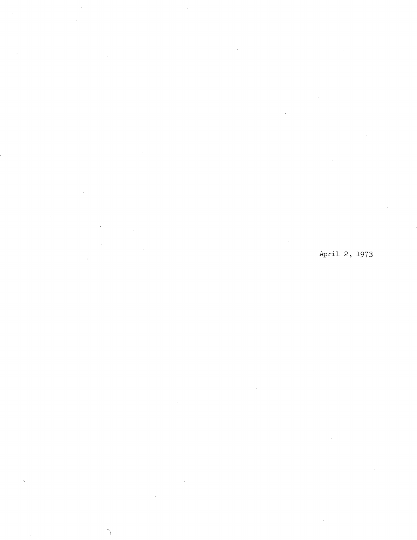April 2, 1973

ŀ,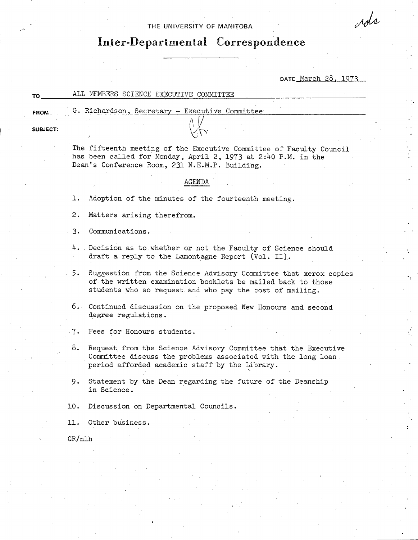## THE UNIVERSITY OF MANITOBA

# **Inter-Departmental Correspondence**

DATE March 28, 1973

ods

| то   | ALL MEMBERS SCIENCE EXECUTIVE COMMITTEE        |  |
|------|------------------------------------------------|--|
|      |                                                |  |
| FROM | G. Richardson, Secretary - Executive Committee |  |

**SUBJECT:** 

The fifteenth meeting of the Executive Committee of Faculty Council has been called for Monday, April 2, 1973 at 2:40 P.M. in the Dean's Conference Room, 231 N.E.M.P. Building.

## AGENDA

1. Adoption of the minutes of the fourteenth meeting.

2. Matters arising therefrom.

Communications.  $3.$ 

4. Decision as to whether or not the Faculty of Science should draft a reply to the Lamontagne Report (Vol. II).

Suggestion from the Science Advisory Committee that xerox copies 5. of the written examination booklets be mailed back to those students who so request and who pay the cost of mailing.

- Continued discussion on the proposed New Honours and second degree regulations.
- Fees for Honours students.
- 8. Request from the Science Advisory Committee that the Executive Committee discuss the problems associated with the long loan period afforded academic staff by the Library.
- 9. Statement by the Dean regarding the future of the Deanship in Science.
- 10. Discussion on Departmental Councils.
- Other business.

GR/nlh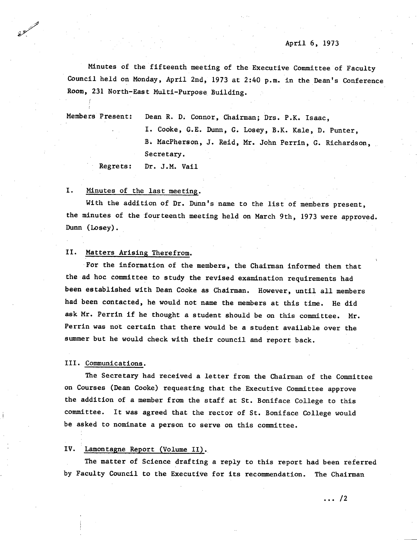Minutes of the fifteenth meeting of the Executive Committee of Faculty Council held on Monday, April 2nd, 1973 at 2:40 p.m. in the Dean's Conference Room, 231 North-East Multi-Purpose Building.

Members Present: Dean R. D. Connor, Chairman; Drs. P.K. Isaac. I. Cooke, G.E. Dunn, G. Losey, B.K. Kale, D. Punter, B. MacPherson, J. Reid, Mr. John Perrin, G. Richardson, Secretary.

Regrets: Dr. J.M. Vail

#### I. Minutes of the last meeting.

With the addition of Dr. Dunn's name to the list of members present, the minutes of the fourteenth meeting held on March 9th, 1973 were approved. Dunn (Losey).

#### II. Matters Arising Therefrom.

For the information of the members, the Chairman informed them that the ad hoc committee to study the revised examination requirements had been established with Dean Cooke as Chairman. However, until all members had been contacted, he would not name the members at this time. He did ask Mr. Perrin if he thought a student should be on this committee. Mr. Perrin was not certain that there would be a student available over the summer but he would check with their council and report back.

### III. Communications.

The Secretary had received a letter from the Chairman of the Committee on Courses (Dean Cooke) requesting that the Executive Committee approve the addition of a member from the staff at St. Boniface College to this committee. It was agreed that the rector of St. Boniface College would be asked to nominate a person to serve on this committee.

#### IV. Lamontagne Report (Volume II).

The matter of Science drafting a reply to this report had been referred by Faculty Council to the Executive for its recommendation. The Chairman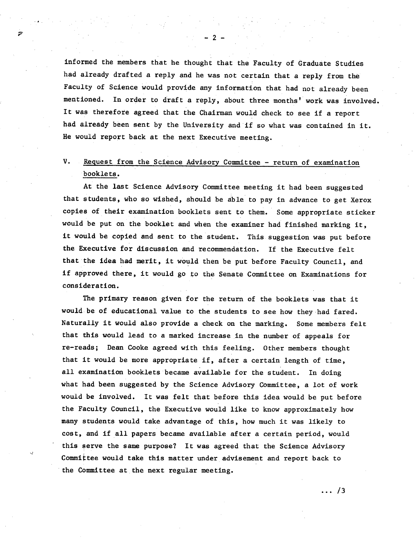informed the members that he thought that the Faculty of Graduate Studies had already drafted a reply and he was not certain that a reply from the Faculty of Science would provide any information that had not already been mentioned. In order to draft a reply, about three months' work was involved. It was therefore agreed that the Chairman would check to see if a report had already been sent by the University and if so what was contained in it. He would report back at the next Executive meeting.

## V. Request from the Science Advisory Committee - return of examination booklets.

At the last Science Advisory Committee meeting it had been suggested that students, who so wished, should be able to pay in advance to get Xerox copies of their examination booklets sent to them. Some appropriate sticker would be put on the booklet and when the examiner had finished marking it, it would be copied and sent to the student. This suggestion was put before the Executive for discussion and recommendation. If the Executive felt that the idea had merit, it would then be put before Faculty Council, and if approved there, it would go to the Senate Committee on Examinations for consideration.

The primary reason given for the return of the booklets was that it would be of educational value to the students to see how they had fared. Naturally it would also provide a check on the marking. Some members felt that this would lead to a marked increase in the number of appeals for re-reads; Dean Cooke agreed with this feeling. Other members thought that it would be more appropriate if, after a certain length of time, all examination booklets became available for the student. In doing what had been suggested by the Science Advisory Committee, a lot of work would be involved. It was felt that before this idea would be put before the Faculty Council, the Executive would like to know approximately how many students would take advantage of this, how much it was likely to cost, and if all papers became available after a certain period, would this serve the same purpose? It was agreed that the Science Advisory Committee would take this matter under advisement and report back to the Committee at the next regular meeting.

.. /3

 $-2-$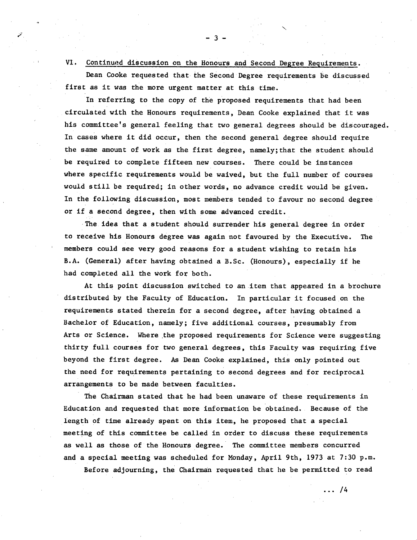# VI. Continued discussion on the Honours and Second Degree Requirements. Dean Cooke requested that the Second Degree requirements be discussed first as it was the more urgent matter at this time.

-3-

In referring to the copy of the proposed requirements that had been circulated with the Honours requirements, Dean Cooke explained that it was his committee's general feeling that two general degrees should be discouraged. In cases where it did occur, then the second general degree should require the same amount of work as the first degree, namely;that the student should be required to complete fifteen new courses. There could be instances where specific requirements would be waived, but the full number of courses would still be required; in other words, no advance credit would be given. In the following discussion, most members tended to favour no second degree or if a second degree, then with some advanced credit.

The idea that a student should surrender his general degree in order to receive his Honours degree was again not favoured by the Executive. The members could see very good reasons for a student wishing to retain his B.A. (General) after having obtained a B.Sc. (Honours), especially if he had completed all the work for both.

At this point discussion switched to an item that appeared in a brochure distributed by the Faculty of Education. In particular it focused on the requirements stated therein for a second degree, after having obtained a Bachelor of Education, namely; five additional courses, presumably from Arts or Science. Where the proposed requirements for Science were suggesting thirty full, courses for two general degrees, this Faculty was requiring five beyond the first degree. As Dean Cooke explained, this only pointed out the need for requirements pertaining to second degrees and for reciprocal arrangements to be made between faculties.

The Chairman stated that he had been unaware of these requirements in Education and requested that more information be obtained. Because of the length of time already spent on this item, he proposed that a special meeting of this committee be called in order to discuss these requirements as well as those of the Honours degree. The committee members concurred and a special meeting was scheduled for Monday, April 9th, 1973 at 7:30 p.m. Before adjourning, the Chairman requested that he be permitted to read

 $\ldots$  /4